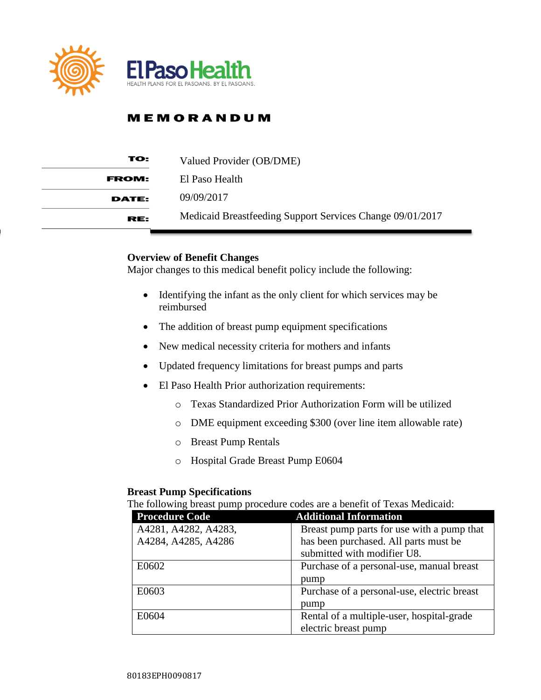

| TO:          | Valued Provider (OB/DME)                                  |
|--------------|-----------------------------------------------------------|
| <b>FROM:</b> | El Paso Health                                            |
| <b>DATE:</b> | 09/09/2017                                                |
| RE:          | Medicaid Breastfeeding Support Services Change 09/01/2017 |

#### **Overview of Benefit Changes**

Major changes to this medical benefit policy include the following:

- Identifying the infant as the only client for which services may be reimbursed
- The addition of breast pump equipment specifications
- New medical necessity criteria for mothers and infants
- Updated frequency limitations for breast pumps and parts
- El Paso Health Prior authorization requirements:
	- o Texas Standardized Prior Authorization Form will be utilized
	- o DME equipment exceeding \$300 (over line item allowable rate)
	- o Breast Pump Rentals
	- o Hospital Grade Breast Pump E0604

#### **Breast Pump Specifications**

The following breast pump procedure codes are a benefit of Texas Medicaid:

| <b>Procedure Code</b> | <b>Additional Information</b>               |
|-----------------------|---------------------------------------------|
| A4281, A4282, A4283,  | Breast pump parts for use with a pump that  |
| A4284, A4285, A4286   | has been purchased. All parts must be       |
|                       | submitted with modifier U8.                 |
| E0602                 | Purchase of a personal-use, manual breast   |
|                       | pump                                        |
| E0603                 | Purchase of a personal-use, electric breast |
|                       | pump                                        |
| E0604                 | Rental of a multiple-user, hospital-grade   |
|                       | electric breast pump                        |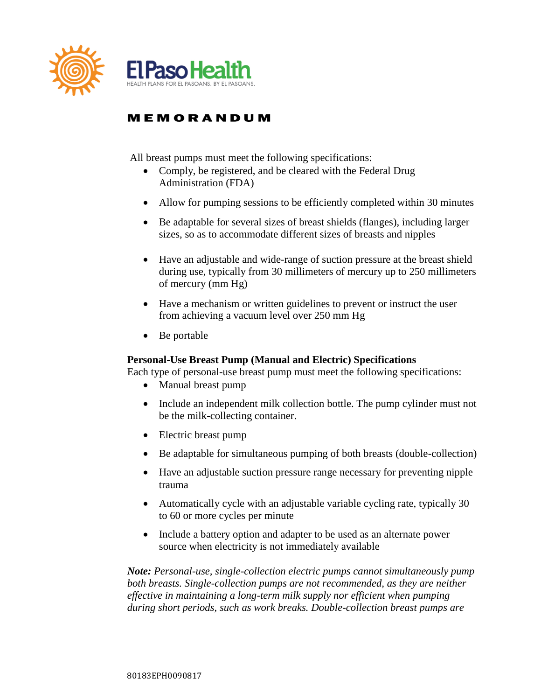

All breast pumps must meet the following specifications:

- Comply, be registered, and be cleared with the Federal Drug Administration (FDA)
- Allow for pumping sessions to be efficiently completed within 30 minutes
- Be adaptable for several sizes of breast shields (flanges), including larger sizes, so as to accommodate different sizes of breasts and nipples
- Have an adjustable and wide-range of suction pressure at the breast shield during use, typically from 30 millimeters of mercury up to 250 millimeters of mercury (mm Hg)
- Have a mechanism or written guidelines to prevent or instruct the user from achieving a vacuum level over 250 mm Hg
- Be portable

#### **Personal-Use Breast Pump (Manual and Electric) Specifications**

Each type of personal-use breast pump must meet the following specifications:

- Manual breast pump
- Include an independent milk collection bottle. The pump cylinder must not be the milk-collecting container.
- Electric breast pump
- Be adaptable for simultaneous pumping of both breasts (double-collection)
- Have an adjustable suction pressure range necessary for preventing nipple trauma
- Automatically cycle with an adjustable variable cycling rate, typically 30 to 60 or more cycles per minute
- Include a battery option and adapter to be used as an alternate power source when electricity is not immediately available

*Note: Personal-use, single-collection electric pumps cannot simultaneously pump both breasts. Single-collection pumps are not recommended, as they are neither effective in maintaining a long-term milk supply nor efficient when pumping during short periods, such as work breaks. Double-collection breast pumps are*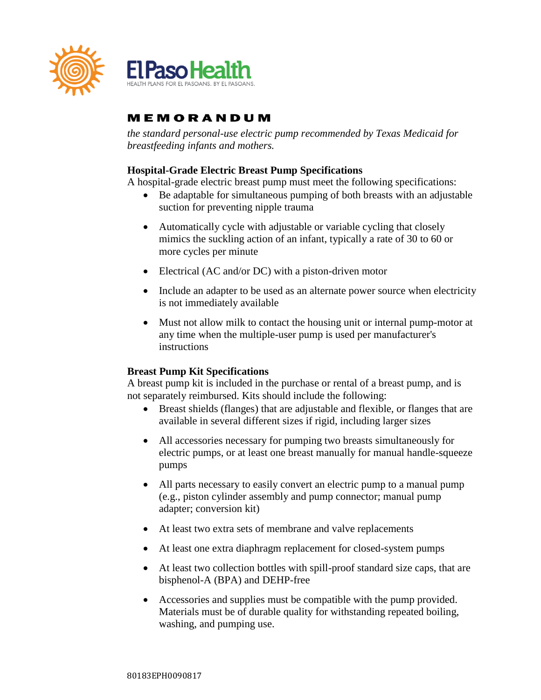

*the standard personal-use electric pump recommended by Texas Medicaid for breastfeeding infants and mothers.* 

### **Hospital-Grade Electric Breast Pump Specifications**

A hospital-grade electric breast pump must meet the following specifications:

- Be adaptable for simultaneous pumping of both breasts with an adjustable suction for preventing nipple trauma
- Automatically cycle with adjustable or variable cycling that closely mimics the suckling action of an infant, typically a rate of 30 to 60 or more cycles per minute
- Electrical (AC and/or DC) with a piston-driven motor
- Include an adapter to be used as an alternate power source when electricity is not immediately available
- Must not allow milk to contact the housing unit or internal pump-motor at any time when the multiple-user pump is used per manufacturer's instructions

### **Breast Pump Kit Specifications**

A breast pump kit is included in the purchase or rental of a breast pump, and is not separately reimbursed. Kits should include the following:

- Breast shields (flanges) that are adjustable and flexible, or flanges that are available in several different sizes if rigid, including larger sizes
- All accessories necessary for pumping two breasts simultaneously for electric pumps, or at least one breast manually for manual handle-squeeze pumps
- All parts necessary to easily convert an electric pump to a manual pump (e.g., piston cylinder assembly and pump connector; manual pump adapter; conversion kit)
- At least two extra sets of membrane and valve replacements
- At least one extra diaphragm replacement for closed-system pumps
- At least two collection bottles with spill-proof standard size caps, that are bisphenol-A (BPA) and DEHP-free
- Accessories and supplies must be compatible with the pump provided. Materials must be of durable quality for withstanding repeated boiling, washing, and pumping use.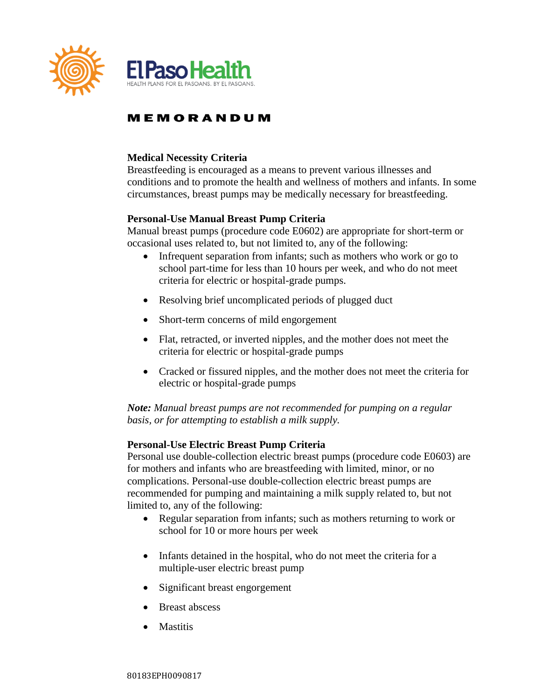

### **Medical Necessity Criteria**

Breastfeeding is encouraged as a means to prevent various illnesses and conditions and to promote the health and wellness of mothers and infants. In some circumstances, breast pumps may be medically necessary for breastfeeding.

### **Personal-Use Manual Breast Pump Criteria**

Manual breast pumps (procedure code E0602) are appropriate for short-term or occasional uses related to, but not limited to, any of the following:

- Infrequent separation from infants; such as mothers who work or go to school part-time for less than 10 hours per week, and who do not meet criteria for electric or hospital-grade pumps.
- Resolving brief uncomplicated periods of plugged duct
- Short-term concerns of mild engorgement
- Flat, retracted, or inverted nipples, and the mother does not meet the criteria for electric or hospital-grade pumps
- Cracked or fissured nipples, and the mother does not meet the criteria for electric or hospital-grade pumps

*Note: Manual breast pumps are not recommended for pumping on a regular basis, or for attempting to establish a milk supply.* 

#### **Personal-Use Electric Breast Pump Criteria**

Personal use double-collection electric breast pumps (procedure code E0603) are for mothers and infants who are breastfeeding with limited, minor, or no complications. Personal-use double-collection electric breast pumps are recommended for pumping and maintaining a milk supply related to, but not limited to, any of the following:

- Regular separation from infants; such as mothers returning to work or school for 10 or more hours per week
- Infants detained in the hospital, who do not meet the criteria for a multiple-user electric breast pump
- Significant breast engorgement
- Breast abscess
- Mastitis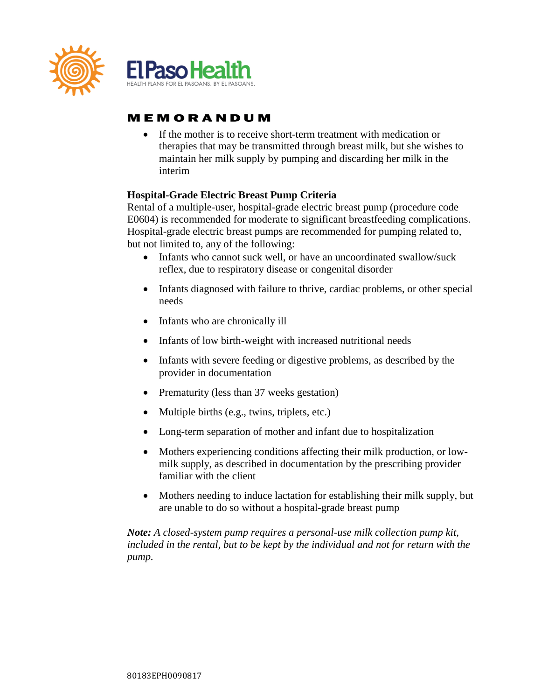

 If the mother is to receive short-term treatment with medication or therapies that may be transmitted through breast milk, but she wishes to maintain her milk supply by pumping and discarding her milk in the interim

### **Hospital-Grade Electric Breast Pump Criteria**

Rental of a multiple-user, hospital-grade electric breast pump (procedure code E0604) is recommended for moderate to significant breastfeeding complications. Hospital-grade electric breast pumps are recommended for pumping related to, but not limited to, any of the following:

- Infants who cannot suck well, or have an uncoordinated swallow/suck reflex, due to respiratory disease or congenital disorder
- Infants diagnosed with failure to thrive, cardiac problems, or other special needs
- Infants who are chronically ill
- Infants of low birth-weight with increased nutritional needs
- Infants with severe feeding or digestive problems, as described by the provider in documentation
- Prematurity (less than 37 weeks gestation)
- Multiple births (e.g., twins, triplets, etc.)
- Long-term separation of mother and infant due to hospitalization
- Mothers experiencing conditions affecting their milk production, or lowmilk supply, as described in documentation by the prescribing provider familiar with the client
- Mothers needing to induce lactation for establishing their milk supply, but are unable to do so without a hospital-grade breast pump

*Note: A closed-system pump requires a personal-use milk collection pump kit, included in the rental, but to be kept by the individual and not for return with the pump.*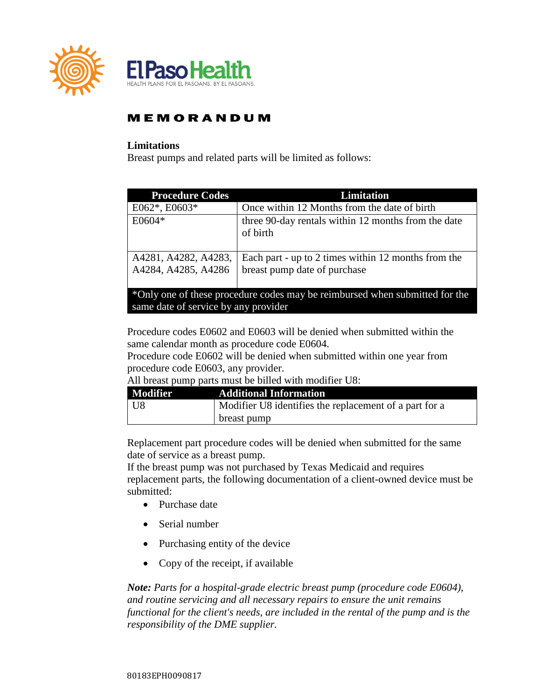

#### **Limitations**

Breast pumps and related parts will be limited as follows:

| <b>Procedure Codes</b>                                                                                              | Limitation                                                                          |
|---------------------------------------------------------------------------------------------------------------------|-------------------------------------------------------------------------------------|
| $E062^*$ , $E0603^*$                                                                                                | Once within 12 Months from the date of birth                                        |
| E0604*                                                                                                              | three 90-day rentals within 12 months from the date<br>of birth                     |
| A4281, A4282, A4283,<br>A4284, A4285, A4286                                                                         | Each part - up to 2 times within 12 months from the<br>breast pump date of purchase |
| *Only one of these procedure codes may be reimbursed when submitted for the<br>same date of service by any provider |                                                                                     |

Procedure codes E0602 and E0603 will be denied when submitted within the same calendar month as procedure code E0604.

Procedure code E0602 will be denied when submitted within one year from procedure code E0603, any provider.

| All breast pump parts must be billed with modifier U8: |
|--------------------------------------------------------|
|--------------------------------------------------------|

| <b>Modifier</b> | <b>Additional Information</b>                          |
|-----------------|--------------------------------------------------------|
| U8              | Modifier U8 identifies the replacement of a part for a |
|                 | breast pump                                            |

Replacement part procedure codes will be denied when submitted for the same date of service as a breast pump.

If the breast pump was not purchased by Texas Medicaid and requires replacement parts, the following documentation of a client-owned device must be submitted:

- Purchase date
- Serial number
- Purchasing entity of the device
- Copy of the receipt, if available

*Note: Parts for a hospital-grade electric breast pump (procedure code E0604), and routine servicing and all necessary repairs to ensure the unit remains functional for the client's needs, are included in the rental of the pump and is the responsibility of the DME supplier.*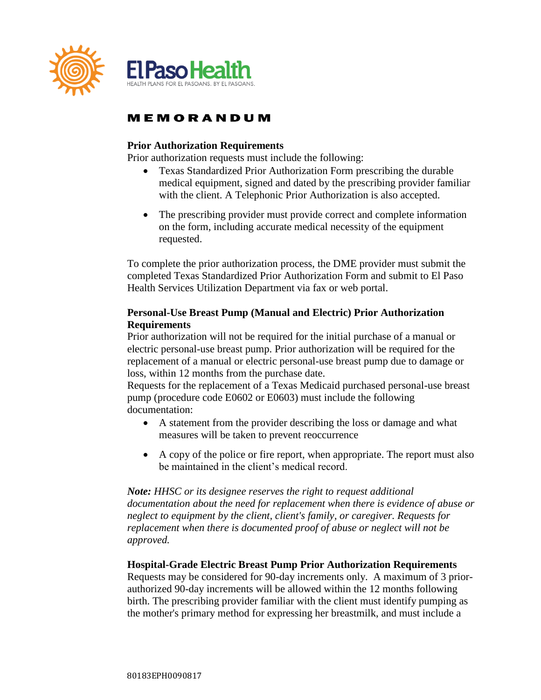

### **Prior Authorization Requirements**

Prior authorization requests must include the following:

- Texas Standardized Prior Authorization Form prescribing the durable medical equipment, signed and dated by the prescribing provider familiar with the client. A Telephonic Prior Authorization is also accepted.
- The prescribing provider must provide correct and complete information on the form, including accurate medical necessity of the equipment requested.

To complete the prior authorization process, the DME provider must submit the completed Texas Standardized Prior Authorization Form and submit to El Paso Health Services Utilization Department via fax or web portal.

### **Personal-Use Breast Pump (Manual and Electric) Prior Authorization Requirements**

Prior authorization will not be required for the initial purchase of a manual or electric personal-use breast pump. Prior authorization will be required for the replacement of a manual or electric personal-use breast pump due to damage or loss, within 12 months from the purchase date.

Requests for the replacement of a Texas Medicaid purchased personal-use breast pump (procedure code E0602 or E0603) must include the following documentation:

- A statement from the provider describing the loss or damage and what measures will be taken to prevent reoccurrence
- A copy of the police or fire report, when appropriate. The report must also be maintained in the client's medical record.

*Note: HHSC or its designee reserves the right to request additional documentation about the need for replacement when there is evidence of abuse or neglect to equipment by the client, client's family, or caregiver. Requests for replacement when there is documented proof of abuse or neglect will not be approved.*

#### **Hospital-Grade Electric Breast Pump Prior Authorization Requirements**

Requests may be considered for 90-day increments only. A maximum of 3 priorauthorized 90-day increments will be allowed within the 12 months following birth. The prescribing provider familiar with the client must identify pumping as the mother's primary method for expressing her breastmilk, and must include a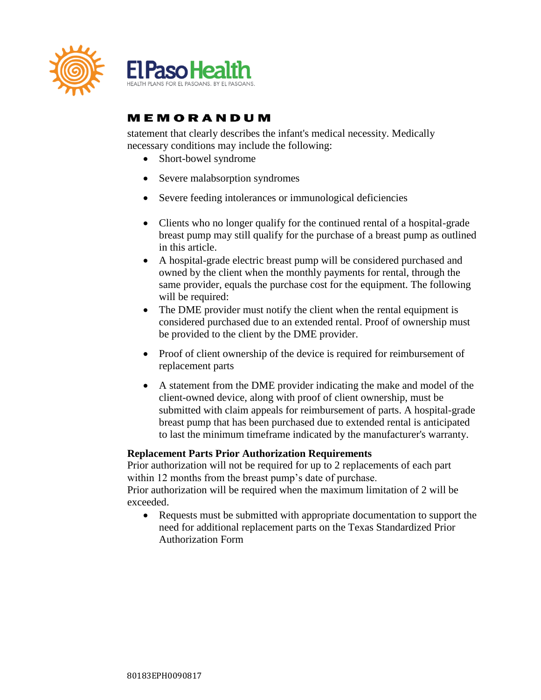

statement that clearly describes the infant's medical necessity. Medically necessary conditions may include the following:

- Short-bowel syndrome
- Severe malabsorption syndromes
- Severe feeding intolerances or immunological deficiencies
- Clients who no longer qualify for the continued rental of a hospital-grade breast pump may still qualify for the purchase of a breast pump as outlined in this article.
- A hospital-grade electric breast pump will be considered purchased and owned by the client when the monthly payments for rental, through the same provider, equals the purchase cost for the equipment. The following will be required:
- The DME provider must notify the client when the rental equipment is considered purchased due to an extended rental. Proof of ownership must be provided to the client by the DME provider.
- Proof of client ownership of the device is required for reimbursement of replacement parts
- A statement from the DME provider indicating the make and model of the client-owned device, along with proof of client ownership, must be submitted with claim appeals for reimbursement of parts. A hospital-grade breast pump that has been purchased due to extended rental is anticipated to last the minimum timeframe indicated by the manufacturer's warranty.

### **Replacement Parts Prior Authorization Requirements**

Prior authorization will not be required for up to 2 replacements of each part within 12 months from the breast pump's date of purchase.

Prior authorization will be required when the maximum limitation of 2 will be exceeded.

• Requests must be submitted with appropriate documentation to support the need for additional replacement parts on the Texas Standardized Prior Authorization Form